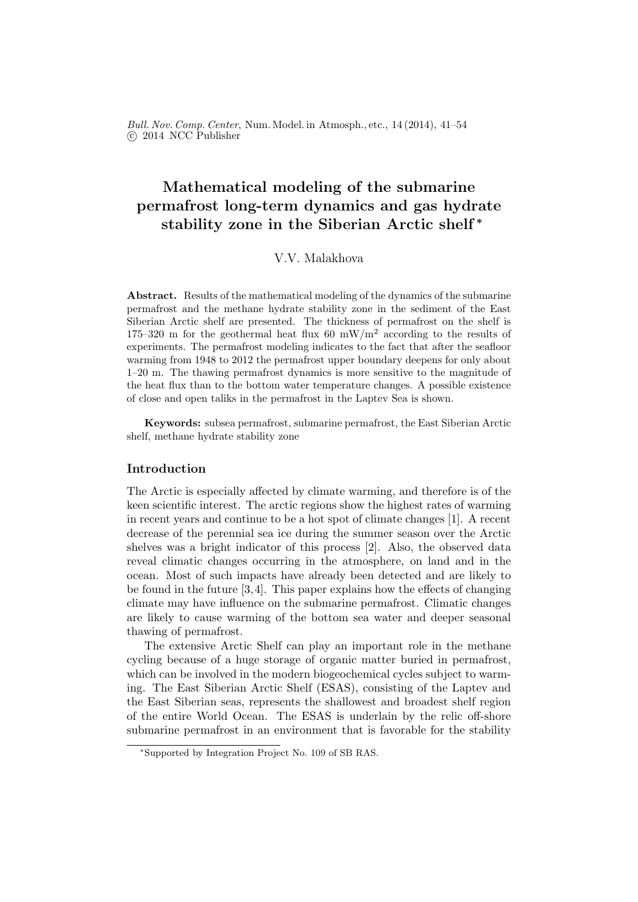Bull. Nov. Comp. Center, Num. Model. in Atmosph., etc., 14 (2014), 41–54 c 2014 NCC Publisher

# Mathematical modeling of the submarine permafrost long-term dynamics and gas hydrate stability zone in the Siberian Arctic shelf <sup>∗</sup>

# V.V. Malakhova

Abstract. Results of the mathematical modeling of the dynamics of the submarine permafrost and the methane hydrate stability zone in the sediment of the East Siberian Arctic shelf are presented. The thickness of permafrost on the shelf is 175–320 m for the geothermal heat flux 60 mW/m<sup>2</sup> according to the results of experiments. The permafrost modeling indicates to the fact that after the seafloor warming from 1948 to 2012 the permafrost upper boundary deepens for only about 1–20 m. The thawing permafrost dynamics is more sensitive to the magnitude of the heat flux than to the bottom water temperature changes. A possible existence of close and open taliks in the permafrost in the Laptev Sea is shown.

Keywords: subsea permafrost, submarine permafrost, the East Siberian Arctic shelf, methane hydrate stability zone

# Introduction

The Arctic is especially affected by climate warming, and therefore is of the keen scientific interest. The arctic regions show the highest rates of warming in recent years and continue to be a hot spot of climate changes [1]. A recent decrease of the perennial sea ice during the summer season over the Arctic shelves was a bright indicator of this process [2]. Also, the observed data reveal climatic changes occurring in the atmosphere, on land and in the ocean. Most of such impacts have already been detected and are likely to be found in the future [3,4]. This paper explains how the effects of changing climate may have influence on the submarine permafrost. Climatic changes are likely to cause warming of the bottom sea water and deeper seasonal thawing of permafrost.

The extensive Arctic Shelf can play an important role in the methane cycling because of a huge storage of organic matter buried in permafrost, which can be involved in the modern biogeochemical cycles subject to warming. The East Siberian Arctic Shelf (ESAS), consisting of the Laptev and the East Siberian seas, represents the shallowest and broadest shelf region of the entire World Ocean. The ESAS is underlain by the relic off-shore submarine permafrost in an environment that is favorable for the stability

<sup>∗</sup>Supported by Integration Project No. 109 of SB RAS.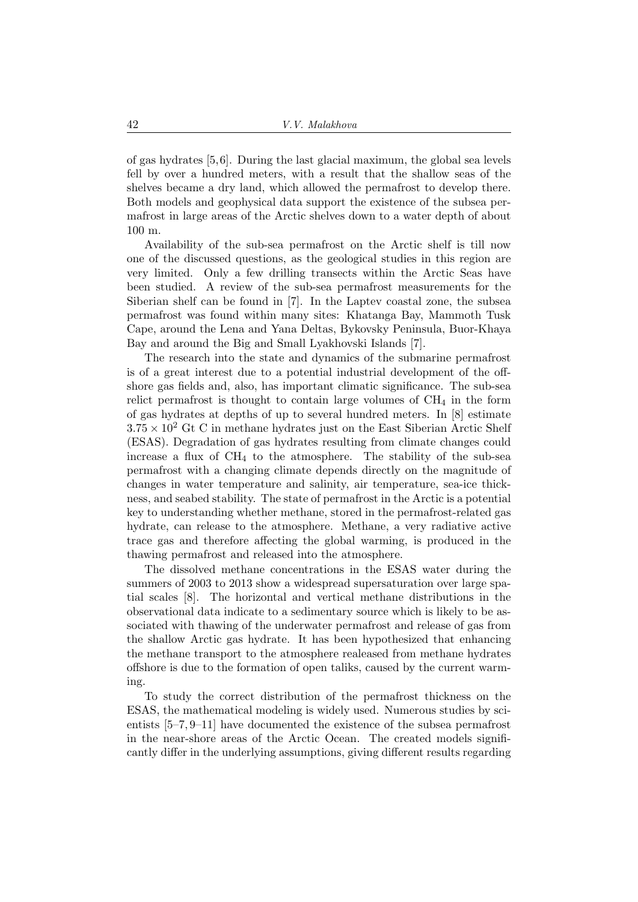of gas hydrates [5,6]. During the last glacial maximum, the global sea levels fell by over a hundred meters, with a result that the shallow seas of the shelves became a dry land, which allowed the permafrost to develop there. Both models and geophysical data support the existence of the subsea permafrost in large areas of the Arctic shelves down to a water depth of about 100 m.

Availability of the sub-sea permafrost on the Arctic shelf is till now one of the discussed questions, as the geological studies in this region are very limited. Only a few drilling transects within the Arctic Seas have been studied. A review of the sub-sea permafrost measurements for the Siberian shelf can be found in [7]. In the Laptev coastal zone, the subsea permafrost was found within many sites: Khatanga Bay, Mammoth Tusk Cape, around the Lena and Yana Deltas, Bykovsky Peninsula, Buor-Khaya Bay and around the Big and Small Lyakhovski Islands [7].

The research into the state and dynamics of the submarine permafrost is of a great interest due to a potential industrial development of the offshore gas fields and, also, has important climatic significance. The sub-sea relict permafrost is thought to contain large volumes of  $CH<sub>4</sub>$  in the form of gas hydrates at depths of up to several hundred meters. In [8] estimate  $3.75 \times 10^2$  Gt C in methane hydrates just on the East Siberian Arctic Shelf (ESAS). Degradation of gas hydrates resulting from climate changes could increase a flux of  $CH_4$  to the atmosphere. The stability of the sub-sea permafrost with a changing climate depends directly on the magnitude of changes in water temperature and salinity, air temperature, sea-ice thickness, and seabed stability. The state of permafrost in the Arctic is a potential key to understanding whether methane, stored in the permafrost-related gas hydrate, can release to the atmosphere. Methane, a very radiative active trace gas and therefore affecting the global warming, is produced in the thawing permafrost and released into the atmosphere.

The dissolved methane concentrations in the ESAS water during the summers of 2003 to 2013 show a widespread supersaturation over large spatial scales [8]. The horizontal and vertical methane distributions in the observational data indicate to a sedimentary source which is likely to be associated with thawing of the underwater permafrost and release of gas from the shallow Arctic gas hydrate. It has been hypothesized that enhancing the methane transport to the atmosphere realeased from methane hydrates offshore is due to the formation of open taliks, caused by the current warming.

To study the correct distribution of the permafrost thickness on the ESAS, the mathematical modeling is widely used. Numerous studies by scientists [5–7, 9–11] have documented the existence of the subsea permafrost in the near-shore areas of the Arctic Ocean. The created models significantly differ in the underlying assumptions, giving different results regarding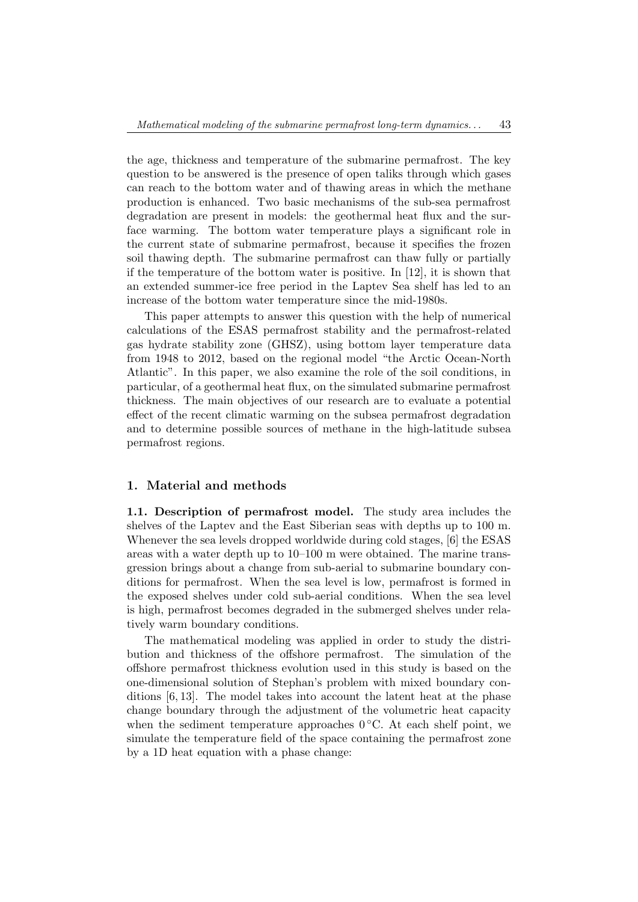the age, thickness and temperature of the submarine permafrost. The key question to be answered is the presence of open taliks through which gases can reach to the bottom water and of thawing areas in which the methane production is enhanced. Two basic mechanisms of the sub-sea permafrost degradation are present in models: the geothermal heat flux and the surface warming. The bottom water temperature plays a significant role in the current state of submarine permafrost, because it specifies the frozen soil thawing depth. The submarine permafrost can thaw fully or partially if the temperature of the bottom water is positive. In [12], it is shown that an extended summer-ice free period in the Laptev Sea shelf has led to an increase of the bottom water temperature since the mid-1980s.

This paper attempts to answer this question with the help of numerical calculations of the ESAS permafrost stability and the permafrost-related gas hydrate stability zone (GHSZ), using bottom layer temperature data from 1948 to 2012, based on the regional model "the Arctic Ocean-North Atlantic". In this paper, we also examine the role of the soil conditions, in particular, of a geothermal heat flux, on the simulated submarine permafrost thickness. The main objectives of our research are to evaluate a potential effect of the recent climatic warming on the subsea permafrost degradation and to determine possible sources of methane in the high-latitude subsea permafrost regions.

### 1. Material and methods

1.1. Description of permafrost model. The study area includes the shelves of the Laptev and the East Siberian seas with depths up to 100 m. Whenever the sea levels dropped worldwide during cold stages, [6] the ESAS areas with a water depth up to 10–100 m were obtained. The marine transgression brings about a change from sub-aerial to submarine boundary conditions for permafrost. When the sea level is low, permafrost is formed in the exposed shelves under cold sub-aerial conditions. When the sea level is high, permafrost becomes degraded in the submerged shelves under relatively warm boundary conditions.

The mathematical modeling was applied in order to study the distribution and thickness of the offshore permafrost. The simulation of the offshore permafrost thickness evolution used in this study is based on the one-dimensional solution of Stephan's problem with mixed boundary conditions [6, 13]. The model takes into account the latent heat at the phase change boundary through the adjustment of the volumetric heat capacity when the sediment temperature approaches  $0^{\circ}$ C. At each shelf point, we simulate the temperature field of the space containing the permafrost zone by a 1D heat equation with a phase change: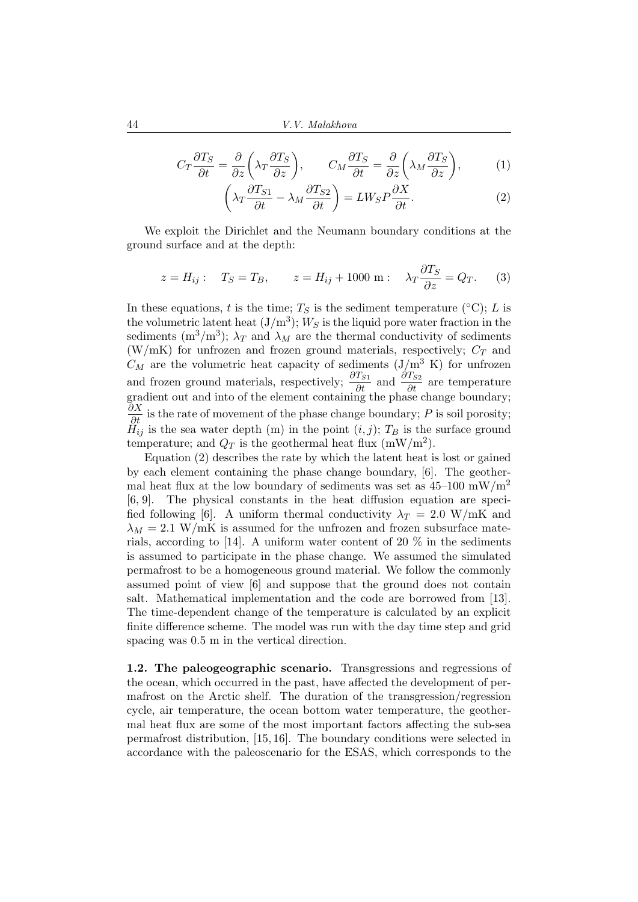$$
C_T \frac{\partial T_S}{\partial t} = \frac{\partial}{\partial z} \left( \lambda_T \frac{\partial T_S}{\partial z} \right), \qquad C_M \frac{\partial T_S}{\partial t} = \frac{\partial}{\partial z} \left( \lambda_M \frac{\partial T_S}{\partial z} \right), \tag{1}
$$

$$
\left(\lambda_T \frac{\partial T_{S1}}{\partial t} - \lambda_M \frac{\partial T_{S2}}{\partial t}\right) = L W_S P \frac{\partial X}{\partial t}.
$$
\n(2)

We exploit the Dirichlet and the Neumann boundary conditions at the ground surface and at the depth:

$$
z = H_{ij} : T_S = T_B, \qquad z = H_{ij} + 1000 \text{ m} : \quad \lambda_T \frac{\partial T_S}{\partial z} = Q_T. \tag{3}
$$

In these equations, t is the time;  $T<sub>S</sub>$  is the sediment temperature (°C); L is the volumetric latent heat  $(J/m^3)$ ;  $W_S$  is the liquid pore water fraction in the sediments  $(m^3/m^3)$ ;  $\lambda_T$  and  $\lambda_M$  are the thermal conductivity of sediments (W/mK) for unfrozen and frozen ground materials, respectively;  $C_T$  and  $C_M$  are the volumetric heat capacity of sediments  $(J/m^3 K)$  for unfrozen and frozen ground materials, respectively;  $\frac{\partial T_{S1}}{\partial t}$  and  $\frac{\partial T_{S2}}{\partial t}$  are temperature gradient out and into of the element containing the phase change boundary;  $\frac{\partial X}{\partial t}$  is the rate of movement of the phase change boundary; P is soil porosity;  $H_{ij}$  is the sea water depth (m) in the point  $(i, j)$ ;  $T_B$  is the surface ground temperature; and  $Q_T$  is the geothermal heat flux (mW/m<sup>2</sup>).

Equation (2) describes the rate by which the latent heat is lost or gained by each element containing the phase change boundary, [6]. The geothermal heat flux at the low boundary of sediments was set as  $45-100$  mW/m<sup>2</sup> [6, 9]. The physical constants in the heat diffusion equation are specified following [6]. A uniform thermal conductivity  $\lambda_T = 2.0 \text{ W/mK}$  and  $\lambda_M = 2.1$  W/mK is assumed for the unfrozen and frozen subsurface materials, according to [14]. A uniform water content of 20 % in the sediments is assumed to participate in the phase change. We assumed the simulated permafrost to be a homogeneous ground material. We follow the commonly assumed point of view [6] and suppose that the ground does not contain salt. Mathematical implementation and the code are borrowed from [13]. The time-dependent change of the temperature is calculated by an explicit finite difference scheme. The model was run with the day time step and grid spacing was 0.5 m in the vertical direction.

1.2. The paleogeographic scenario. Transgressions and regressions of the ocean, which occurred in the past, have affected the development of permafrost on the Arctic shelf. The duration of the transgression/regression cycle, air temperature, the ocean bottom water temperature, the geothermal heat flux are some of the most important factors affecting the sub-sea permafrost distribution, [15, 16]. The boundary conditions were selected in accordance with the paleoscenario for the ESAS, which corresponds to the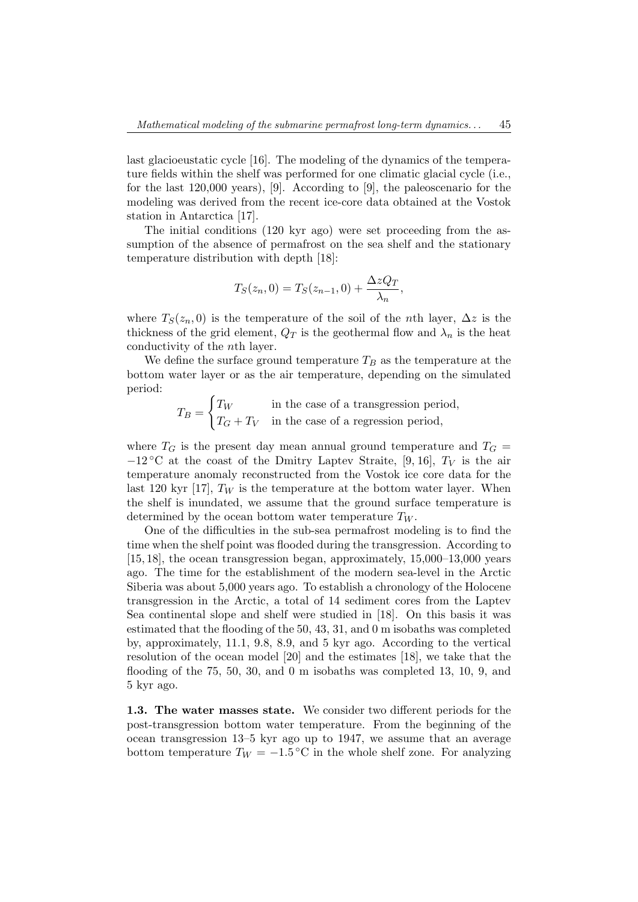last glacioeustatic cycle [16]. The modeling of the dynamics of the temperature fields within the shelf was performed for one climatic glacial cycle (i.e., for the last 120,000 years), [9]. According to [9], the paleoscenario for the modeling was derived from the recent ice-core data obtained at the Vostok station in Antarctica [17].

The initial conditions (120 kyr ago) were set proceeding from the assumption of the absence of permafrost on the sea shelf and the stationary temperature distribution with depth [18]:

$$
T_S(z_n,0) = T_S(z_{n-1},0) + \frac{\Delta z Q_T}{\lambda_n},
$$

where  $T_S(z_n, 0)$  is the temperature of the soil of the *n*th layer,  $\Delta z$  is the thickness of the grid element,  $Q_T$  is the geothermal flow and  $\lambda_n$  is the heat conductivity of the nth layer.

We define the surface ground temperature  $T_B$  as the temperature at the bottom water layer or as the air temperature, depending on the simulated period:

 $T_B =$  $\int T_W$  in the case of a transgression period,  $T_G + T_V$  in the case of a regression period,

where  $T_G$  is the present day mean annual ground temperature and  $T_G$  $-12$  °C at the coast of the Dmitry Laptev Straite, [9, 16],  $T_V$  is the air temperature anomaly reconstructed from the Vostok ice core data for the last 120 kyr [17],  $T_W$  is the temperature at the bottom water layer. When the shelf is inundated, we assume that the ground surface temperature is determined by the ocean bottom water temperature  $T_W$ .

One of the difficulties in the sub-sea permafrost modeling is to find the time when the shelf point was flooded during the transgression. According to [15, 18], the ocean transgression began, approximately, 15,000–13,000 years ago. The time for the establishment of the modern sea-level in the Arctic Siberia was about 5,000 years ago. To establish a chronology of the Holocene transgression in the Arctic, a total of 14 sediment cores from the Laptev Sea continental slope and shelf were studied in [18]. On this basis it was estimated that the flooding of the 50, 43, 31, and 0 m isobaths was completed by, approximately, 11.1, 9.8, 8.9, and 5 kyr ago. According to the vertical resolution of the ocean model [20] and the estimates [18], we take that the flooding of the 75, 50, 30, and 0 m isobaths was completed 13, 10, 9, and 5 kyr ago.

1.3. The water masses state. We consider two different periods for the post-transgression bottom water temperature. From the beginning of the ocean transgression 13–5 kyr ago up to 1947, we assume that an average bottom temperature  $T_W = -1.5 \degree C$  in the whole shelf zone. For analyzing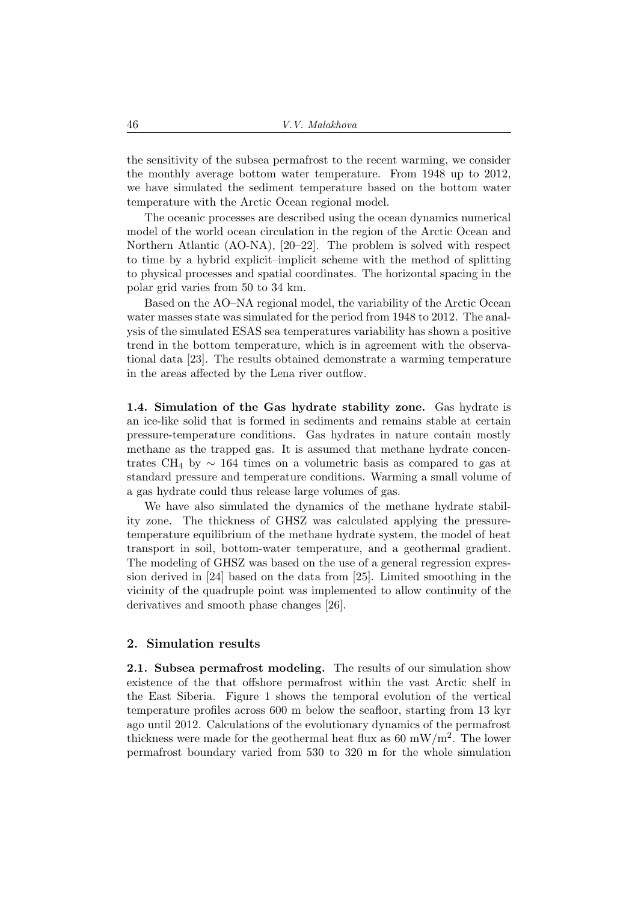the sensitivity of the subsea permafrost to the recent warming, we consider the monthly average bottom water temperature. From 1948 up to 2012, we have simulated the sediment temperature based on the bottom water temperature with the Arctic Ocean regional model.

The oceanic processes are described using the ocean dynamics numerical model of the world ocean circulation in the region of the Arctic Ocean and Northern Atlantic (AO-NA), [20–22]. The problem is solved with respect to time by a hybrid explicit–implicit scheme with the method of splitting to physical processes and spatial coordinates. The horizontal spacing in the polar grid varies from 50 to 34 km.

Based on the AO–NA regional model, the variability of the Arctic Ocean water masses state was simulated for the period from 1948 to 2012. The analysis of the simulated ESAS sea temperatures variability has shown a positive trend in the bottom temperature, which is in agreement with the observational data [23]. The results obtained demonstrate a warming temperature in the areas affected by the Lena river outflow.

1.4. Simulation of the Gas hydrate stability zone. Gas hydrate is an ice-like solid that is formed in sediments and remains stable at certain pressure-temperature conditions. Gas hydrates in nature contain mostly methane as the trapped gas. It is assumed that methane hydrate concentrates CH<sub>4</sub> by  $\sim$  164 times on a volumetric basis as compared to gas at standard pressure and temperature conditions. Warming a small volume of a gas hydrate could thus release large volumes of gas.

We have also simulated the dynamics of the methane hydrate stability zone. The thickness of GHSZ was calculated applying the pressuretemperature equilibrium of the methane hydrate system, the model of heat transport in soil, bottom-water temperature, and a geothermal gradient. The modeling of GHSZ was based on the use of a general regression expression derived in [24] based on the data from [25]. Limited smoothing in the vicinity of the quadruple point was implemented to allow continuity of the derivatives and smooth phase changes [26].

### 2. Simulation results

2.1. Subsea permafrost modeling. The results of our simulation show existence of the that offshore permafrost within the vast Arctic shelf in the East Siberia. Figure 1 shows the temporal evolution of the vertical temperature profiles across 600 m below the seafloor, starting from 13 kyr ago until 2012. Calculations of the evolutionary dynamics of the permafrost thickness were made for the geothermal heat flux as  $60 \text{ mW/m}^2$ . The lower permafrost boundary varied from 530 to 320 m for the whole simulation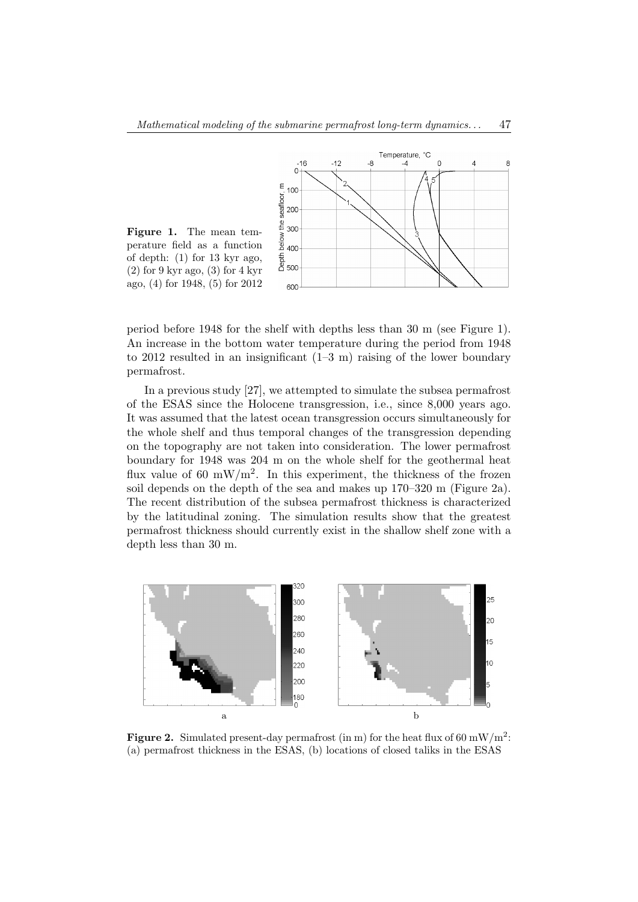

period before 1948 for the shelf with depths less than 30 m (see Figure 1). An increase in the bottom water temperature during the period from 1948 to 2012 resulted in an insignificant  $(1-3 \text{ m})$  raising of the lower boundary permafrost.

In a previous study [27], we attempted to simulate the subsea permafrost of the ESAS since the Holocene transgression, i.e., since 8,000 years ago. It was assumed that the latest ocean transgression occurs simultaneously for the whole shelf and thus temporal changes of the transgression depending on the topography are not taken into consideration. The lower permafrost boundary for 1948 was 204 m on the whole shelf for the geothermal heat flux value of 60 mW/m<sup>2</sup>. In this experiment, the thickness of the frozen soil depends on the depth of the sea and makes up 170–320 m (Figure 2a). The recent distribution of the subsea permafrost thickness is characterized by the latitudinal zoning. The simulation results show that the greatest permafrost thickness should currently exist in the shallow shelf zone with a depth less than 30 m.



Figure 2. Simulated present-day permafrost (in m) for the heat flux of 60 mW/m<sup>2</sup>: (a) permafrost thickness in the ESAS, (b) locations of closed taliks in the ESAS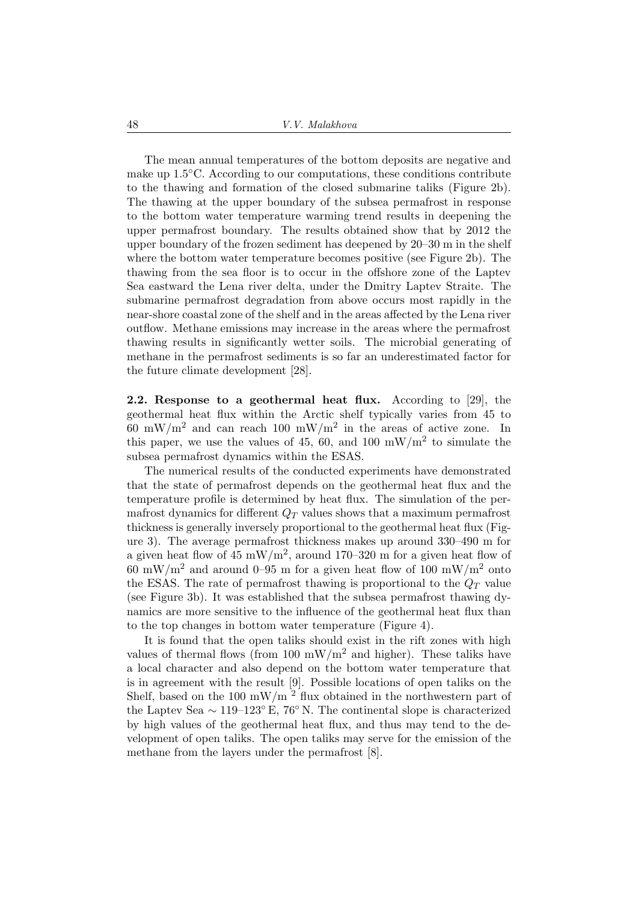The mean annual temperatures of the bottom deposits are negative and make up 1.5◦C. According to our computations, these conditions contribute to the thawing and formation of the closed submarine taliks (Figure 2b). The thawing at the upper boundary of the subsea permafrost in response to the bottom water temperature warming trend results in deepening the upper permafrost boundary. The results obtained show that by 2012 the upper boundary of the frozen sediment has deepened by 20–30 m in the shelf where the bottom water temperature becomes positive (see Figure 2b). The thawing from the sea floor is to occur in the offshore zone of the Laptev Sea eastward the Lena river delta, under the Dmitry Laptev Straite. The submarine permafrost degradation from above occurs most rapidly in the near-shore coastal zone of the shelf and in the areas affected by the Lena river outflow. Methane emissions may increase in the areas where the permafrost thawing results in significantly wetter soils. The microbial generating of methane in the permafrost sediments is so far an underestimated factor for the future climate development [28].

2.2. Response to a geothermal heat flux. According to [29], the geothermal heat flux within the Arctic shelf typically varies from 45 to 60 mW/m<sup>2</sup> and can reach 100 mW/m<sup>2</sup> in the areas of active zone. In this paper, we use the values of 45, 60, and 100 mW/m<sup>2</sup> to simulate the subsea permafrost dynamics within the ESAS.

The numerical results of the conducted experiments have demonstrated that the state of permafrost depends on the geothermal heat flux and the temperature profile is determined by heat flux. The simulation of the permafrost dynamics for different  $Q_T$  values shows that a maximum permafrost thickness is generally inversely proportional to the geothermal heat flux (Figure 3). The average permafrost thickness makes up around 330–490 m for a given heat flow of  $45 \text{ mW/m}^2$ , around 170–320 m for a given heat flow of 60 mW/m<sup>2</sup> and around 0–95 m for a given heat flow of 100 mW/m<sup>2</sup> onto the ESAS. The rate of permafrost thawing is proportional to the  $Q_T$  value (see Figure 3b). It was established that the subsea permafrost thawing dynamics are more sensitive to the influence of the geothermal heat flux than to the top changes in bottom water temperature (Figure 4).

It is found that the open taliks should exist in the rift zones with high values of thermal flows (from 100 mW/m<sup>2</sup> and higher). These taliks have a local character and also depend on the bottom water temperature that is in agreement with the result [9]. Possible locations of open taliks on the Shelf, based on the 100 mW/m<sup>2</sup> flux obtained in the northwestern part of the Laptev Sea  $\sim 119-123^{\circ}$  E, 76° N. The continental slope is characterized by high values of the geothermal heat flux, and thus may tend to the development of open taliks. The open taliks may serve for the emission of the methane from the layers under the permafrost [8].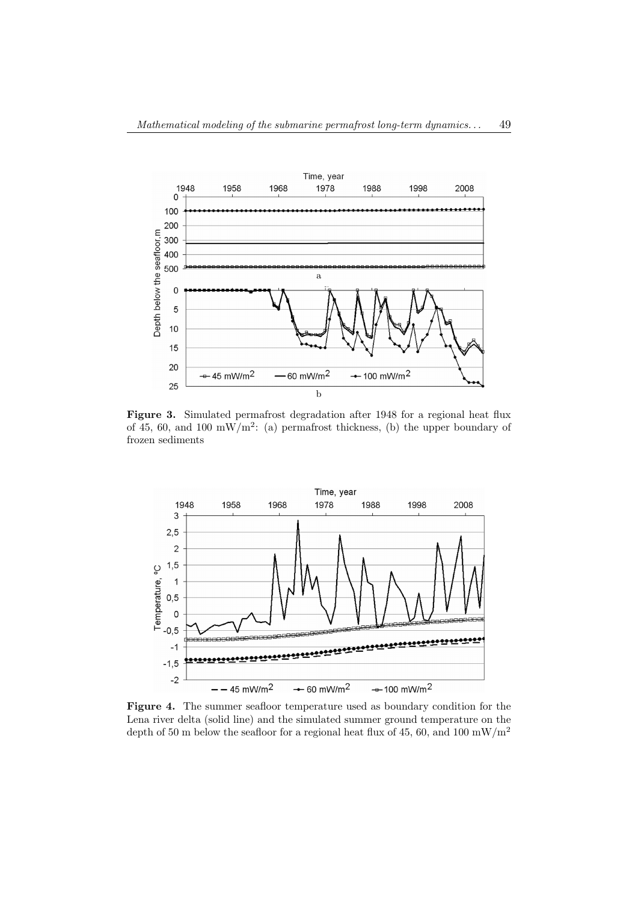

Figure 3. Simulated permafrost degradation after 1948 for a regional heat flux of 45, 60, and 100 mW/m<sup>2</sup>: (a) permafrost thickness, (b) the upper boundary of frozen sediments



Figure 4. The summer seafloor temperature used as boundary condition for the Lena river delta (solid line) and the simulated summer ground temperature on the depth of 50 m below the seafloor for a regional heat flux of 45, 60, and 100  $\rm mW/m^2$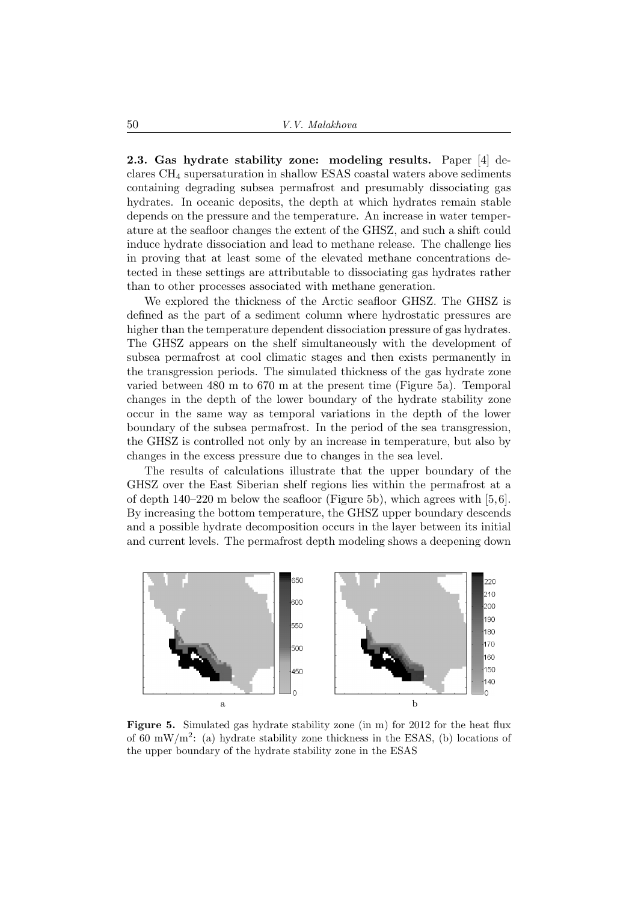2.3. Gas hydrate stability zone: modeling results. Paper [4] declares CH<sup>4</sup> supersaturation in shallow ESAS coastal waters above sediments containing degrading subsea permafrost and presumably dissociating gas hydrates. In oceanic deposits, the depth at which hydrates remain stable depends on the pressure and the temperature. An increase in water temperature at the seafloor changes the extent of the GHSZ, and such a shift could induce hydrate dissociation and lead to methane release. The challenge lies in proving that at least some of the elevated methane concentrations detected in these settings are attributable to dissociating gas hydrates rather than to other processes associated with methane generation.

We explored the thickness of the Arctic seafloor GHSZ. The GHSZ is defined as the part of a sediment column where hydrostatic pressures are higher than the temperature dependent dissociation pressure of gas hydrates. The GHSZ appears on the shelf simultaneously with the development of subsea permafrost at cool climatic stages and then exists permanently in the transgression periods. The simulated thickness of the gas hydrate zone varied between 480 m to 670 m at the present time (Figure 5a). Temporal changes in the depth of the lower boundary of the hydrate stability zone occur in the same way as temporal variations in the depth of the lower boundary of the subsea permafrost. In the period of the sea transgression, the GHSZ is controlled not only by an increase in temperature, but also by changes in the excess pressure due to changes in the sea level.

The results of calculations illustrate that the upper boundary of the GHSZ over the East Siberian shelf regions lies within the permafrost at a of depth  $140-220$  m below the seafloor (Figure 5b), which agrees with [5,6]. By increasing the bottom temperature, the GHSZ upper boundary descends and a possible hydrate decomposition occurs in the layer between its initial and current levels. The permafrost depth modeling shows a deepening down



Figure 5. Simulated gas hydrate stability zone (in m) for 2012 for the heat flux of 60 mW/m<sup>2</sup>: (a) hydrate stability zone thickness in the ESAS, (b) locations of the upper boundary of the hydrate stability zone in the ESAS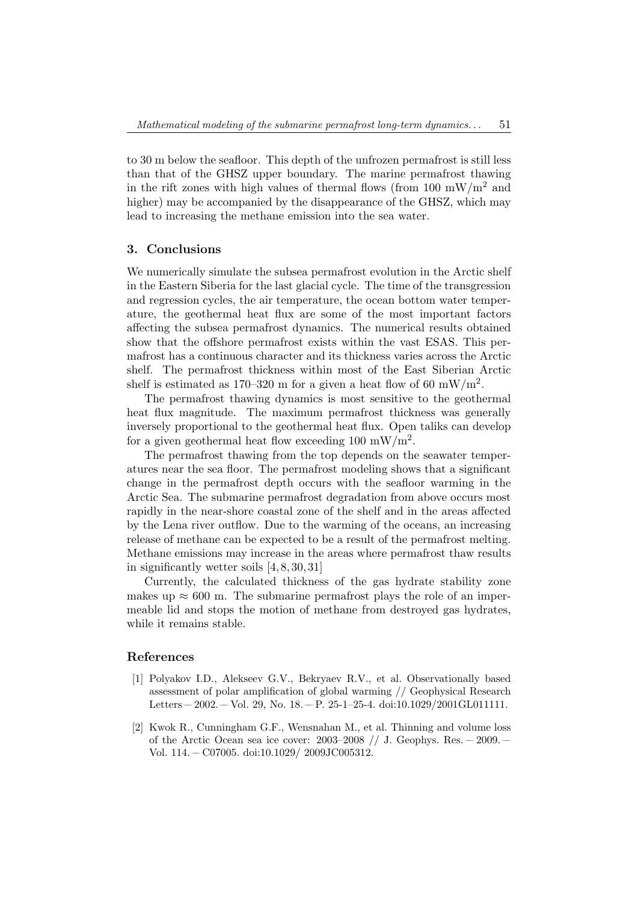to 30 m below the seafloor. This depth of the unfrozen permafrost is still less than that of the GHSZ upper boundary. The marine permafrost thawing in the rift zones with high values of thermal flows (from 100  $mW/m^2$  and higher) may be accompanied by the disappearance of the GHSZ, which may lead to increasing the methane emission into the sea water.

#### 3. Conclusions

We numerically simulate the subsea permafrost evolution in the Arctic shelf in the Eastern Siberia for the last glacial cycle. The time of the transgression and regression cycles, the air temperature, the ocean bottom water temperature, the geothermal heat flux are some of the most important factors affecting the subsea permafrost dynamics. The numerical results obtained show that the offshore permafrost exists within the vast ESAS. This permafrost has a continuous character and its thickness varies across the Arctic shelf. The permafrost thickness within most of the East Siberian Arctic shelf is estimated as 170–320 m for a given a heat flow of 60 mW/m<sup>2</sup>.

The permafrost thawing dynamics is most sensitive to the geothermal heat flux magnitude. The maximum permafrost thickness was generally inversely proportional to the geothermal heat flux. Open taliks can develop for a given geothermal heat flow exceeding  $100 \text{ mW/m}^2$ .

The permafrost thawing from the top depends on the seawater temperatures near the sea floor. The permafrost modeling shows that a significant change in the permafrost depth occurs with the seafloor warming in the Arctic Sea. The submarine permafrost degradation from above occurs most rapidly in the near-shore coastal zone of the shelf and in the areas affected by the Lena river outflow. Due to the warming of the oceans, an increasing release of methane can be expected to be a result of the permafrost melting. Methane emissions may increase in the areas where permafrost thaw results in significantly wetter soils [4, 8, 30, 31]

Currently, the calculated thickness of the gas hydrate stability zone makes up  $\approx 600$  m. The submarine permafrost plays the role of an impermeable lid and stops the motion of methane from destroyed gas hydrates, while it remains stable.

# References

- [1] Polyakov I.D., Alekseev G.V., Bekryaev R.V., et al. Observationally based assessment of polar amplification of global warming // Geophysical Research Letters –– 2002. –– Vol. 29, No. 18. –– P. 25-1–25-4. doi:10.1029/2001GL011111.
- [2] Kwok R., Cunningham G.F., Wensnahan M., et al. Thinning and volume loss of the Arctic Ocean sea ice cover:  $2003-2008$  // J. Geophys. Res. -- 2009. --Vol. 114. –– C07005. doi:10.1029/ 2009JC005312.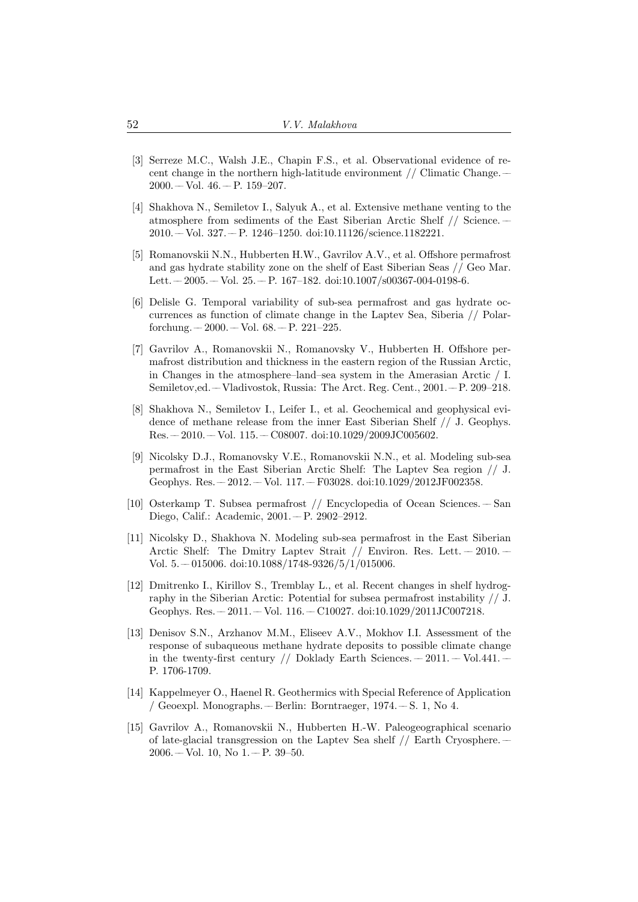- [3] Serreze M.C., Walsh J.E., Chapin F.S., et al. Observational evidence of recent change in the northern high-latitude environment // Climatic Change. ––  $2000 - Vol. 46 - P. 159 - 207.$
- [4] Shakhova N., Semiletov I., Salyuk A., et al. Extensive methane venting to the atmosphere from sediments of the East Siberian Arctic Shelf // Science. –– 2010. –– Vol. 327. –– P. 1246–1250. doi:10.11126/science.1182221.
- [5] Romanovskii N.N., Hubberten H.W., Gavrilov A.V., et al. Offshore permafrost and gas hydrate stability zone on the shelf of East Siberian Seas // Geo Mar. Lett.  $-2005. -$  Vol.  $25. -$  P.  $167-182.$  doi:10.1007/s00367-004-0198-6.
- [6] Delisle G. Temporal variability of sub-sea permafrost and gas hydrate occurrences as function of climate change in the Laptev Sea, Siberia // Polarforchung.  $-2000. -$  Vol. 68.  $-$  P. 221–225.
- [7] Gavrilov A., Romanovskii N., Romanovsky V., Hubberten H. Offshore permafrost distribution and thickness in the eastern region of the Russian Arctic, in Changes in the atmosphere–land–sea system in the Amerasian Arctic / I. Semiletov,ed. –– Vladivostok, Russia: The Arct. Reg. Cent., 2001. –– P. 209–218.
- [8] Shakhova N., Semiletov I., Leifer I., et al. Geochemical and geophysical evidence of methane release from the inner East Siberian Shelf // J. Geophys.  $Res. -2010. -Vol.$  115.  $-$  C08007. doi:10.1029/2009JC005602.
- [9] Nicolsky D.J., Romanovsky V.E., Romanovskii N.N., et al. Modeling sub-sea permafrost in the East Siberian Arctic Shelf: The Laptev Sea region // J. Geophys. Res. -– 2012. –– Vol. 117. –– F03028. doi:10.1029/2012JF002358.
- [10] Osterkamp T. Subsea permafrost // Encyclopedia of Ocean Sciences. –– San Diego, Calif.: Academic, 2001. –– P. 2902–2912.
- [11] Nicolsky D., Shakhova N. Modeling sub-sea permafrost in the East Siberian Arctic Shelf: The Dmitry Laptev Strait  $//$  Environ. Res. Lett.  $-2010$ . Vol. 5. –– 015006. doi:10.1088/1748-9326/5/1/015006.
- [12] Dmitrenko I., Kirillov S., Tremblay L., et al. Recent changes in shelf hydrography in the Siberian Arctic: Potential for subsea permafrost instability // J. Geophys. Res. -– 2011. –– Vol. 116. –– C10027. doi:10.1029/2011JC007218.
- [13] Denisov S.N., Arzhanov M.M., Eliseev A.V., Mokhov I.I. Assessment of the response of subaqueous methane hydrate deposits to possible climate change in the twenty-first century // Doklady Earth Sciences.  $-2011$ .  $-$  Vol.441. – P. 1706-1709.
- [14] Kappelmeyer O., Haenel R. Geothermics with Special Reference of Application / Geoexpl. Monographs. –– Berlin: Borntraeger, 1974. –– S. 1, No 4.
- [15] Gavrilov A., Romanovskii N., Hubberten H.-W. Paleogeographical scenario of late-glacial transgression on the Laptev Sea shelf // Earth Cryosphere. ––  $2006. -$  Vol. 10, No  $1. -$  P. 39-50.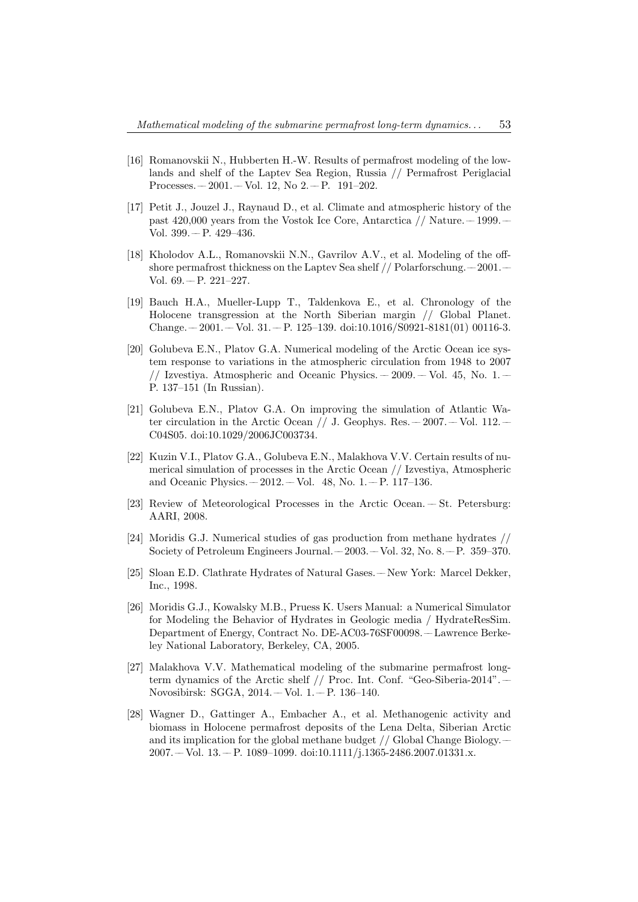- [16] Romanovskii N., Hubberten H.-W. Results of permafrost modeling of the lowlands and shelf of the Laptev Sea Region, Russia // Permafrost Periglacial Processes.  $-2001. -$  Vol. 12, No  $2. -$  P. 191–202.
- [17] Petit J., Jouzel J., Raynaud D., et al. Climate and atmospheric history of the past  $420,000$  years from the Vostok Ice Core, Antarctica  $//$  Nature.  $-1999$ . Vol.  $399 - P. 429 - 436$ .
- [18] Kholodov A.L., Romanovskii N.N., Gavrilov A.V., et al. Modeling of the offshore permafrost thickness on the Laptev Sea shelf  $//$  Polarforschung. $-2001$ . Vol.  $69 - P. 221 - 227$ .
- [19] Bauch H.A., Mueller-Lupp T., Taldenkova E., et al. Chronology of the Holocene transgression at the North Siberian margin // Global Planet.  $Change. -2001. -Vol. 31. -P. 125-139. \text{ doi:10.1016/S0921-S181(01) 00116-3.}$
- [20] Golubeva E.N., Platov G.A. Numerical modeling of the Arctic Ocean ice system response to variations in the atmospheric circulation from 1948 to 2007 // Izvestiya. Atmospheric and Oceanic Physics.  $-2009$ .  $-$  Vol. 45, No. 1.  $-$ P. 137–151 (In Russian).
- [21] Golubeva E.N., Platov G.A. On improving the simulation of Atlantic Water circulation in the Arctic Ocean  $//$  J. Geophys. Res.  $-2007. -$  Vol. 112.  $-$ C04S05. doi:10.1029/2006JC003734.
- [22] Kuzin V.I., Platov G.A., Golubeva E.N., Malakhova V.V. Certain results of numerical simulation of processes in the Arctic Ocean // Izvestiya, Atmospheric and Oceanic Physics.  $-2012. -$  Vol. 48, No. 1.  $-$  P. 117-136.
- [23] Review of Meteorological Processes in the Arctic Ocean. –– St. Petersburg: AARI, 2008.
- [24] Moridis G.J. Numerical studies of gas production from methane hydrates // Society of Petroleum Engineers Journal. – 2003. – Vol. 32, No. 8. – P. 359–370.
- [25] Sloan E.D. Clathrate Hydrates of Natural Gases. –– New York: Marcel Dekker, Inc., 1998.
- [26] Moridis G.J., Kowalsky M.B., Pruess K. Users Manual: a Numerical Simulator for Modeling the Behavior of Hydrates in Geologic media / HydrateResSim. Department of Energy, Contract No. DE-AC03-76SF00098. –– Lawrence Berkeley National Laboratory, Berkeley, CA, 2005.
- [27] Malakhova V.V. Mathematical modeling of the submarine permafrost longterm dynamics of the Arctic shelf // Proc. Int. Conf. "Geo-Siberia-2014". –– Novosibirsk: SGGA, 2014. – Vol. 1. – P. 136-140.
- [28] Wagner D., Gattinger A., Embacher A., et al. Methanogenic activity and biomass in Holocene permafrost deposits of the Lena Delta, Siberian Arctic and its implication for the global methane budget // Global Change Biology. ––  $2007. -$  Vol.  $13. -$  P. 1089–1099. doi:10.1111/j.1365-2486.2007.01331.x.